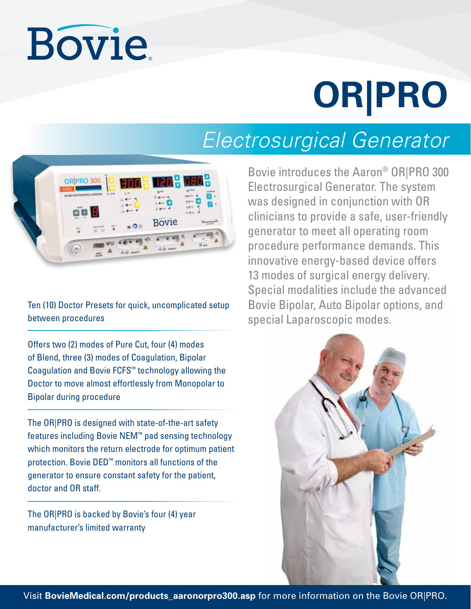# **Bovie**

# **OR|PRO**

## *Electrosurgical Generator*



Ten (10) Doctor Presets for quick, uncomplicated setup between procedures

Offers two (2) modes of Pure Cut, four (4) modes of Blend, three (3) modes of Coagulation, Bipolar Coagulation and Bovie FCFS™ technology allowing the Doctor to move almost effortlessly from Monopolar to Bipolar during procedure

The OR|PRO is designed with state-of-the-art safety features including Bovie NEM™ pad sensing technology which monitors the return electrode for optimum patient protection. Bovie DED™ monitors all functions of the generator to ensure constant safety for the patient, doctor and OR staff.

The OR|PRO is backed by Bovie's four (4) year manufacturer's limited warranty

Bovie introduces the Aaron® OR|PRO 300 Electrosurgical Generator. The system was designed in conjunction with OR clinicians to provide a safe, user-friendly generator to meet all operating room procedure performance demands. This innovative energy-based device offers 13 modes of surgical energy delivery. Special modalities include the advanced Bovie Bipolar, Auto Bipolar options, and special Laparoscopic modes.



Visit **BovieMedical.com/products\_aaronorpro300.asp** for more information on the Bovie OR|PRO.